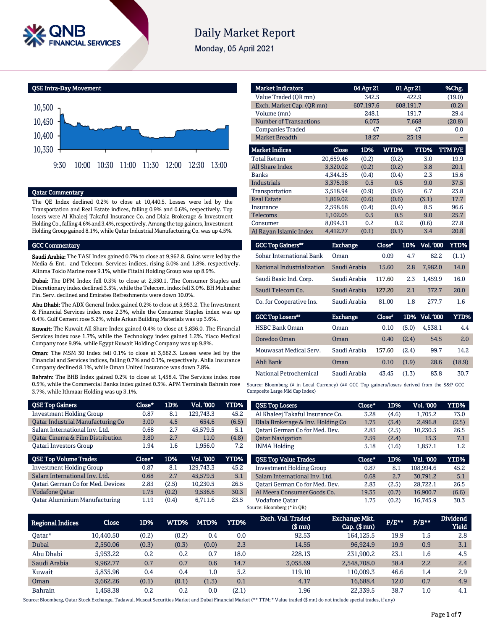

# **Daily Market Report**

Monday, 05 April 2021



## Qatar Commentary

The QE Index declined 0.2% to close at 10,440.5. Losses were led by the Transportation and Real Estate indices, falling 0.9% and 0.6%, respectively. Top losers were Al Khaleej Takaful Insurance Co. and Dlala Brokerage & Investment Holding Co., falling 4.6% and 3.4%, respectively. Among the top gainers, Investment Holding Group gained 8.1%, while Qatar Industrial Manufacturing Co. was up 4.5%.

#### GCC Commentary

Saudi Arabia: The TASI Index gained 0.7% to close at 9,962.8. Gains were led by the Media & Ent. and Telecom. Services indices, rising 5.0% and 1.8%, respectively. Alinma Tokio Marine rose 9.1%, while Fitaihi Holding Group was up 8.9%.

Dubai: The DFM Index fell 0.3% to close at 2,550.1. The Consumer Staples and Discretionary index declined 3.5%, while the Telecom. index fell 3.0%. BH Mubasher Fin. Serv. declined and Emirates Refreshments were down 10.0%.

Abu Dhabi: The ADX General Index gained 0.2% to close at 5,953.2. The Investment & Financial Services index rose 2.3%, while the Consumer Staples index was up 0.4%. Gulf Cement rose 5.2%, while Arkan Building Materials was up 3.6%.

Kuwait: The Kuwait All Share Index gained 0.4% to close at 5,836.0. The Financial Services index rose 1.7%, while the Technology index gained 1.2%. Yiaco Medical Company rose 9.9%, while Egypt Kuwait Holding Company was up 9.8%.

Oman: The MSM 30 Index fell 0.1% to close at 3,662.3. Losses were led by the Financial and Services indices, falling 0.7% and 0.1%, respectively. Ahlia Insurance Company declined 8.1%, while Oman United Insurance was down 7.8%.

Bahrain: The BHB Index gained 0.2% to close at 1,458.4. The Services index rose 0.5%, while the Commercial Banks index gained 0.3%. APM Terminals Bahrain rose 3.7%, while Ithmaar Holding was up 3.1%.

| <b>Market Indicators</b>  |           | 04 Apr 21 |       | 01 Apr 21   | %Chg.   |
|---------------------------|-----------|-----------|-------|-------------|---------|
| Value Traded (OR mn)      |           | 342.5     |       | 422.9       | (19.0)  |
| Exch. Market Cap. (OR mn) |           | 607,197.6 |       | 608,191.7   | (0.2)   |
| Volume (mn)               |           | 248.1     |       | 191.7       | 29.4    |
| Number of Transactions    |           | 6,073     |       | 7,668       | (20.8)  |
| <b>Companies Traded</b>   |           | 47        |       | 47          | 0.0     |
| <b>Market Breadth</b>     |           | 18:27     |       | 25:19       |         |
| <b>Market Indices</b>     | Close     | 1D%       | WTD%  | <b>YTD%</b> | TTM P/E |
| <b>Total Return</b>       | 20,659.46 | (0.2)     | (0.2) | 3.0         | 19.9    |
| <b>All Share Index</b>    | 3.320.02  | (0.2)     | (0.2) | 3.8         | 20.1    |
| <b>Banks</b>              | 4,344.35  | (0.4)     | (0.4) | 2.3         | 15.6    |
| <b>Industrials</b>        | 3.375.98  | 0.5       | 0.5   | 9.0         | 37.5    |
| Transportation            | 3,518.94  | (0.9)     | (0.9) | 6.7         | 23.8    |
| <b>Real Estate</b>        | 1,869.02  | (0.6)     | (0.6) | (3.1)       | 17.7    |
| Insurance                 | 2,598.68  | (0.4)     | (0.4) | 8.5         | 96.6    |
| <b>Telecoms</b>           | 1,102.05  | 0.5       | 0.5   | 9.0         | 25.7    |
| Consumer                  | 8.094.31  | 0.2       | 0.2   | (0.6)       | 27.8    |
| Al Rayan Islamic Index    | 4,412.77  | (0.1)     | (0.1) | 3.4         | 20.8    |

| <b>GCC Top Gainers</b> "        | <b>Exchange</b> | Close" |     | 1D% Vol. '000' | YTD%  |
|---------------------------------|-----------------|--------|-----|----------------|-------|
| <b>Sohar International Bank</b> | Oman            | 0.09   | 4.7 | 82.2           | (1.1) |
| National Industrialization      | Saudi Arabia    | 15.60  | 2.8 | 7.982.0        | 14.0  |
| Saudi Basic Ind. Corp.          | Saudi Arabia    | 117.60 | 2.3 | 1.459.9        | 16.0  |
| Saudi Telecom Co.               | Saudi Arabia    | 127.20 | 2.1 | 372.7          | 20.0  |
| Co. for Cooperative Ins.        | Saudi Arabia    | 81.00  | 1.8 | 2.77.7         | 1.6   |

| <b>GCC Top Losers</b>  | <b>Exchange</b> | $Close*$ |       | 1D% Vol. 000 | YTD%   |
|------------------------|-----------------|----------|-------|--------------|--------|
| <b>HSBC Bank Oman</b>  | Oman            | 0.10     | (5.0) | 4.538.1      | 4.4    |
| Ooredoo Oman           | Oman            | 0.40     | (2.4) | 54.5         | 2.0    |
| Mouwasat Medical Serv. | Saudi Arabia    | 157.60   | (2.4) | 99.7         | 14.2   |
| Ahli Bank              | Oman            | 0.10     | (1.9) | 28.6         | (18.9) |
| National Petrochemical | Saudi Arabia    | 43.45    | (1.3) | 83.8         | 30.7   |

Source: Bloomberg (# in Local Currency) (## GCC Top gainers/losers derived from the S&P GCC Composite Large Mid Cap Index)

| <b>QSE Top Gainers</b>                      | $Close*$ | 1D%   | Vol. '000        | YTD%  | <b>QSE Top Losers</b>             | Close* | 1D%   | Vol. '000 | YTD%             |
|---------------------------------------------|----------|-------|------------------|-------|-----------------------------------|--------|-------|-----------|------------------|
| <b>Investment Holding Group</b>             | 0.87     | 8.1   | 129.743.3        | 45.2  | Al Khaleej Takaful Insurance Co.  | 3.28   | (4.6) | 1.705.2   | 73.0             |
| Oatar Industrial Manufacturing Co           | 3.00     | 4.5   | 654.6            | (6.5) | Dlala Brokerage & Inv. Holding Co | 1.75   | (3.4) | 2.496.8   | (2.5)            |
| Salam International Inv. Ltd.               | 0.68     | 2.7   | 45.579.5         | 5.1   | Oatari German Co for Med. Dev.    | 2.83   | (2.5) | 10,230.5  | 26.5             |
| <b>Qatar Cinema &amp; Film Distribution</b> | 3.80     | 2.7   | 11.0             | (4.8) | <b>Oatar Navigation</b>           | 7.59   | (2.4) | 15.3      | 7.1              |
| <b>Oatari Investors Group</b>               | 1.94     | 1.6   | 1.956.0          | 7.2   | <b>INMA Holding</b>               | 5.18   | (1.6) | 1,857.1   | $1.2\phantom{0}$ |
|                                             |          |       |                  |       |                                   |        |       |           |                  |
| <b>QSE Top Volume Trades</b>                | Close*   | 1D%   | <b>Vol. '000</b> | YTD%  | <b>OSE Top Value Trades</b>       | Close* | 1D%   | Val. '000 | YTD%             |
| <b>Investment Holding Group</b>             | 0.87     | 8.1   | 129.743.3        | 45.2  | <b>Investment Holding Group</b>   | 0.87   | 8.1   | 108.994.6 | 45.2             |
| Salam International Inv. Ltd.               | 0.68     | 2.7   | 45,579.5         | 5.1   | Salam International Inv. Ltd.     | 0.68   | 2.7   | 30.791.2  | 5.1              |
| <b>Qatari German Co for Med. Devices</b>    | 2.83     | (2.5) | 10.230.5         | 26.5  | Oatari German Co for Med. Dev.    | 2.83   | (2.5) | 28.722.1  | 26.5             |
| <b>Vodafone Oatar</b>                       | 1.75     | (0.2) | 9.536.6          | 30.3  | Al Meera Consumer Goods Co.       | 19.35  | (0.7) | 16.900.7  | (6.6)            |
| <b>Qatar Aluminium Manufacturing</b>        | 1.19     | (0.4) | 6,711.6          | 23.5  | <b>Vodafone Qatar</b>             | 1.75   | (0.2) | 16,745.9  | 30.3             |
|                                             |          |       |                  |       | Source: Bloomberg (* in QR)       |        |       |           |                  |

| <b>Regional Indices</b> | Close     | 1D%   | WTD%  | MTD%  | <b>YTD%</b> | Exch. Val. Traded<br>(\$ mn) | Exchange Mkt.<br>$Cap.$ (\$ mn) | P/E** | $P/B**$ | <b>Dividend</b><br><b>Yield</b> |
|-------------------------|-----------|-------|-------|-------|-------------|------------------------------|---------------------------------|-------|---------|---------------------------------|
| Oatar*                  | 10.440.50 | (0.2) | (0.2) | 0.4   | 0.0         | 92.53                        | 164,125.5                       | 19.9  | 1.5     | 2.8                             |
| Dubai                   | 2.550.06  | (0.3) | (0.3) | (0.0) | 2.3         | 14.55                        | 96.924.9                        | 19.9  | 0.9     | 3.1                             |
| Abu Dhabi               | 5.953.22  | 0.2   | 0.2   | 0.7   | 18.0        | 228.13                       | 231,900.2                       | 23.1  | 1.6     | 4.5                             |
| Saudi Arabia            | 9,962.77  | 0.7   | 0.7   | 0.6   | 14.7        | 3.055.69                     | 2,548,708.0                     | 38.4  | 2.2     | 2.4                             |
| Kuwait                  | 5.835.96  | 0.4   | 0.4   | 1.0   | 5.2         | 119.10                       | 110.009.3                       | 46.6  | 1.4     | 2.9                             |
| Oman                    | 3.662.26  | (0.1) | (0.1) | (1.3) | 0.1         | 4.17                         | 16.688.4                        | 12.0  | 0.7     | 4.9                             |
| <b>Bahrain</b>          | 1.458.38  | 0.2   | 0.2   | 0.0   | (2.1)       | 1.96                         | 22.339.5                        | 38.7  | 1.0     | 4.1                             |

Source: Bloomberg, Qatar Stock Exchange, Tadawul, Muscat Securities Market and Dubai Financial Market (\*\* TTM; \* Value traded (\$ mn) do not include special trades, if any)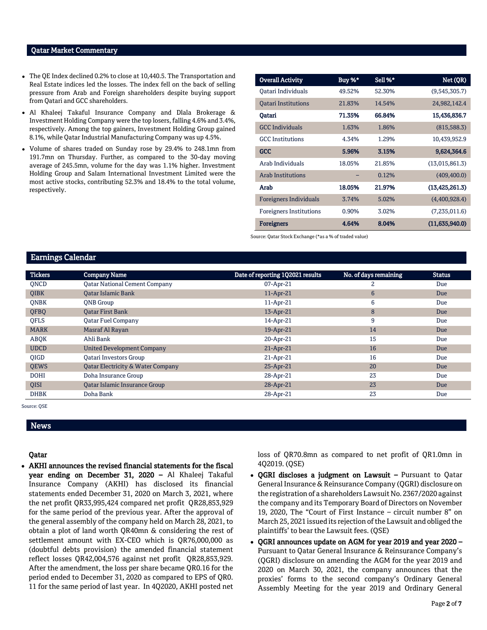### Qatar Market Commentary

- The QE Index declined 0.2% to close at 10,440.5. The Transportation and Real Estate indices led the losses. The index fell on the back of selling pressure from Arab and Foreign shareholders despite buying support from Qatari and GCC shareholders.
- Al Khaleej Takaful Insurance Company and Dlala Brokerage & Investment Holding Company were the top losers, falling 4.6% and 3.4%, respectively. Among the top gainers, Investment Holding Group gained 8.1%, while Qatar Industrial Manufacturing Company was up 4.5%.
- Volume of shares traded on Sunday rose by 29.4% to 248.1mn from 191.7mn on Thursday. Further, as compared to the 30-day moving average of 245.5mn, volume for the day was 1.1% higher. Investment Holding Group and Salam International Investment Limited were the most active stocks, contributing 52.3% and 18.4% to the total volume, respectively.

| <b>Overall Activity</b>        | Buy %* | Sell %* | Net (QR)         |
|--------------------------------|--------|---------|------------------|
| Oatari Individuals             | 49.52% | 52.30%  | (9,545,305.7)    |
| <b>Oatari Institutions</b>     | 21.83% | 14.54%  | 24,982,142.4     |
| Oatari                         | 71.35% | 66.84%  | 15,436,836.7     |
| <b>GCC</b> Individuals         | 1.63%  | 1.86%   | (815,588.3)      |
| <b>GCC</b> Institutions        | 4.34%  | 1.29%   | 10,439,952.9     |
| GCC                            | 5.96%  | 3.15%   | 9,624,364.6      |
| Arab Individuals               | 18.05% | 21.85%  | (13,015,861.3)   |
| <b>Arab Institutions</b>       |        | 0.12%   | (409, 400.0)     |
| Arab                           | 18.05% | 21.97%  | (13, 425, 261.3) |
| Foreigners Individuals         | 3.74%  | 5.02%   | (4,400,928.4)    |
| <b>Foreigners Institutions</b> | 0.90%  | 3.02%   | (7,235,011.6)    |
| <b>Foreigners</b>              | 4.64%  | 8.04%   | (11,635,940.0)   |

Source: Qatar Stock Exchange (\*as a % of traded value)

# Earnings Calendar

| <b>Tickers</b> | <b>Company Name</b>                          | Date of reporting 1Q2021 results | No. of days remaining | <b>Status</b> |
|----------------|----------------------------------------------|----------------------------------|-----------------------|---------------|
| <b>ONCD</b>    | <b>Qatar National Cement Company</b>         | 07-Apr-21                        | 2                     | Due           |
| <b>OIBK</b>    | <b>Qatar Islamic Bank</b>                    | 11-Apr-21                        | $6\phantom{1}6$       | Due           |
| <b>ONBK</b>    | <b>ONB</b> Group                             | 11-Apr-21                        | 6                     | Due           |
| QFBQ           | <b>Qatar First Bank</b>                      | 13-Apr-21                        | 8                     | Due           |
| <b>OFLS</b>    | <b>Qatar Fuel Company</b>                    | 14-Apr-21                        | 9                     | Due           |
| <b>MARK</b>    | Masraf Al Rayan                              | 19-Apr-21                        | 14                    | Due           |
| ABQK           | Ahli Bank                                    | 20-Apr-21                        | 15                    | Due           |
| <b>UDCD</b>    | <b>United Development Company</b>            | 21-Apr-21                        | 16                    | Due           |
| <b>OIGD</b>    | Qatari Investors Group                       | $21-Apr-21$                      | 16                    | Due           |
| <b>QEWS</b>    | <b>Qatar Electricity &amp; Water Company</b> | 25-Apr-21                        | 20                    | Due           |
| <b>DOHI</b>    | Doha Insurance Group                         | 28-Apr-21                        | 23                    | Due           |
| <b>OISI</b>    | <b>Oatar Islamic Insurance Group</b>         | 28-Apr-21                        | 23                    | Due           |
| <b>DHBK</b>    | Doha Bank                                    | 28-Apr-21                        | 23                    | Due           |

Source: QSE

#### News

#### Qatar

 AKHI announces the revised financial statements for the fiscal year ending on December 31, 2020 – Al Khaleej Takaful Insurance Company (AKHI) has disclosed its financial statements ended December 31, 2020 on March 3, 2021, where the net profit QR33,995,424 compared net profit QR28,853,929 for the same period of the previous year. After the approval of the general assembly of the company held on March 28, 2021, to obtain a plot of land worth QR40mn & considering the rest of settlement amount with EX-CEO which is QR76,000,000 as (doubtful debts provision) the amended financial statement reflect losses QR42,004,576 against net profit QR28,853,929. After the amendment, the loss per share became QR0.16 for the period ended to December 31, 2020 as compared to EPS of QR0. 11 for the same period of last year. In 4Q2020, AKHI posted net loss of QR70.8mn as compared to net profit of QR1.0mn in 4Q2019. (QSE)

- QGRI discloses a judgment on Lawsuit Pursuant to Qatar General Insurance & Reinsurance Company (QGRI) disclosure on the registration of a shareholders Lawsuit No. 2367/2020 against the company and its Temporary Board of Directors on November 19, 2020, The "Court of First Instance – circuit number 8" on March 25, 2021 issued its rejection of the Lawsuit and obliged the plaintiffs' to bear the Lawsuit fees. (QSE)
- QGRI announces update on AGM for year 2019 and year 2020 Pursuant to Qatar General Insurance & Reinsurance Company's (QGRI) disclosure on amending the AGM for the year 2019 and 2020 on March 30, 2021, the company announces that the proxies' forms to the second company's Ordinary General Assembly Meeting for the year 2019 and Ordinary General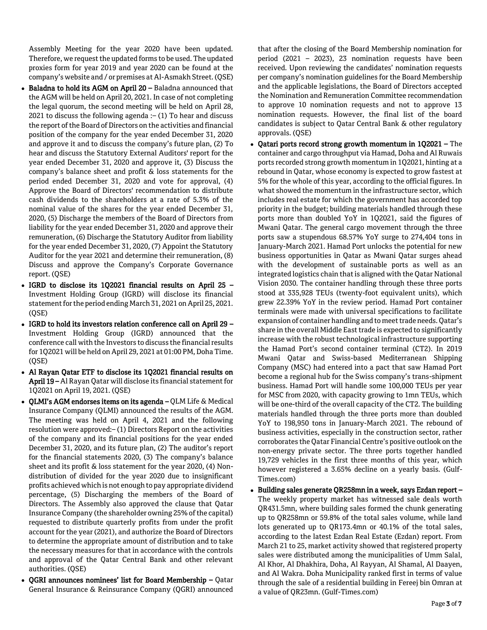Assembly Meeting for the year 2020 have been updated. Therefore, we request the updated forms to be used. The updated proxies form for year 2019 and year 2020 can be found at the company's website and / or premises at Al-Asmakh Street. (QSE)

- Baladna to hold its AGM on April 20 Baladna announced that the AGM will be held on April 20, 2021. In case of not completing the legal quorum, the second meeting will be held on April 28, 2021 to discuss the following agenda  $:-(1)$  To hear and discuss the report of the Board of Directors on the activities and financial position of the company for the year ended December 31, 2020 and approve it and to discuss the company's future plan, (2) To hear and discuss the Statutory External Auditors' report for the year ended December 31, 2020 and approve it, (3) Discuss the company's balance sheet and profit & loss statements for the period ended December 31, 2020 and vote for approval, (4) Approve the Board of Directors' recommendation to distribute cash dividends to the shareholders at a rate of 5.3% of the nominal value of the shares for the year ended December 31, 2020, (5) Discharge the members of the Board of Directors from liability for the year ended December 31, 2020 and approve their remuneration, (6) Discharge the Statutory Auditor from liability for the year ended December 31, 2020, (7) Appoint the Statutory Auditor for the year 2021 and determine their remuneration, (8) Discuss and approve the Company's Corporate Governance report. (QSE)
- IGRD to disclose its 1Q2021 financial results on April 25 Investment Holding Group (IGRD) will disclose its financial statement for the period ending March 31, 2021 on April 25, 2021. (QSE)
- IGRD to hold its investors relation conference call on April 29 Investment Holding Group (IGRD) announced that the conference call with the Investors to discuss the financial results for 1Q2021 will be held on April 29, 2021 at 01:00 PM, Doha Time. (QSE)
- Al Rayan Qatar ETF to disclose its 1Q2021 financial results on April 19 – Al Rayan Qatar will disclose its financial statement for 1Q2021 on April 19, 2021. (QSE)
- QLMI's AGM endorses items on its agenda QLM Life & Medical Insurance Company (QLMI) announced the results of the AGM. The meeting was held on April 4, 2021 and the following resolution were approved:– (1) Directors Report on the activities of the company and its financial positions for the year ended December 31, 2020, and its future plan, (2) The auditor's report for the financial statements 2020, (3) The company's balance sheet and its profit & loss statement for the year 2020, (4) Nondistribution of divided for the year 2020 due to insignificant profits achieved which is not enough to pay appropriate dividend percentage, (5) Discharging the members of the Board of Directors. The Assembly also approved the clause that Qatar Insurance Company (the shareholder owning 25% of the capital) requested to distribute quarterly profits from under the profit account for the year (2021), and authorize the Board of Directors to determine the appropriate amount of distribution and to take the necessary measures for that in accordance with the controls and approval of the Qatar Central Bank and other relevant authorities. (QSE)
- QGRI announces nominees' list for Board Membership Qatar General Insurance & Reinsurance Company (QGRI) announced

that after the closing of the Board Membership nomination for period (2021 – 2023), 23 nomination requests have been received. Upon reviewing the candidates' nomination requests per company's nomination guidelines for the Board Membership and the applicable legislations, the Board of Directors accepted the Nomination and Remuneration Committee recommendation to approve 10 nomination requests and not to approve 13 nomination requests. However, the final list of the board candidates is subject to Qatar Central Bank & other regulatory approvals. (QSE)

- Qatari ports record strong growth momentum in 1Q2021 The container and cargo throughput via Hamad, Doha and Al Ruwais ports recorded strong growth momentum in 1Q2021, hinting at a rebound in Qatar, whose economy is expected to grow fastest at 5% for the whole of this year, according to the official figures. In what showed the momentum in the infrastructure sector, which includes real estate for which the government has accorded top priority in the budget; building materials handled through these ports more than doubled YoY in 1Q2021, said the figures of Mwani Qatar. The general cargo movement through the three ports saw a stupendous 68.57% YoY surge to 274,404 tons in January-March 2021. Hamad Port unlocks the potential for new business opportunities in Qatar as Mwani Qatar surges ahead with the development of sustainable ports as well as an integrated logistics chain that is aligned with the Qatar National Vision 2030. The container handling through these three ports stood at 335,928 TEUs (twenty-foot equivalent units), which grew 22.39% YoY in the review period. Hamad Port container terminals were made with universal specifications to facilitate expansion of container handling and to meet trade needs. Qatar's share in the overall Middle East trade is expected to significantly increase with the robust technological infrastructure supporting the Hamad Port's second container terminal (CT2). In 2019 Mwani Qatar and Swiss-based Mediterranean Shipping Company (MSC) had entered into a pact that saw Hamad Port become a regional hub for the Swiss company's trans-shipment business. Hamad Port will handle some 100,000 TEUs per year for MSC from 2020, with capacity growing to 1mn TEUs, which will be one-third of the overall capacity of the CT2. The building materials handled through the three ports more than doubled YoY to 198,950 tons in January-March 2021. The rebound of business activities, especially in the construction sector, rather corroborates the Qatar Financial Centre's positive outlook on the non-energy private sector. The three ports together handled 19,729 vehicles in the first three months of this year, which however registered a 3.65% decline on a yearly basis. (Gulf-Times.com)
- Building sales generate QR258mn in a week, says Ezdan report The weekly property market has witnessed sale deals worth QR431.5mn, where building sales formed the chunk generating up to QR258mn or 59.8% of the total sales volume, while land lots generated up to QR173.4mn or 40.1% of the total sales, according to the latest Ezdan Real Estate (Ezdan) report. From March 21 to 25, market activity showed that registered property sales were distributed among the municipalities of Umm Salal, Al Khor, Al Dhakhira, Doha, Al Rayyan, Al Shamal, Al Daayen, and Al Wakra. Doha Municipality ranked first in terms of value through the sale of a residential building in Fereej bin Omran at a value of QR23mn. (Gulf-Times.com)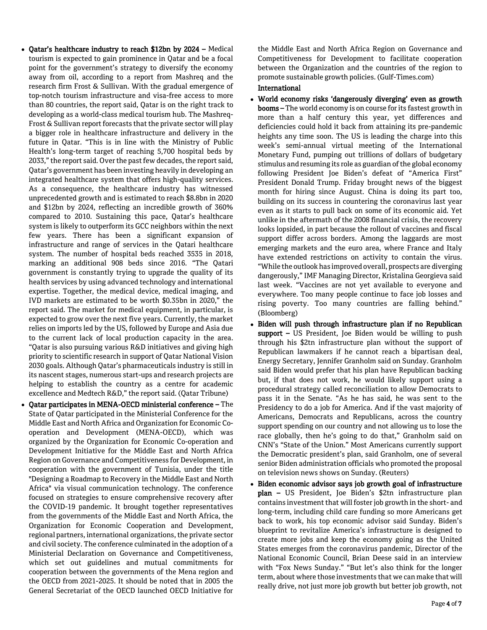- Qatar's healthcare industry to reach \$12bn by 2024 Medical tourism is expected to gain prominence in Qatar and be a focal point for the government's strategy to diversify the economy away from oil, according to a report from Mashreq and the research firm Frost & Sullivan. With the gradual emergence of top-notch tourism infrastructure and visa-free access to more than 80 countries, the report said, Qatar is on the right track to developing as a world-class medical tourism hub. The Mashreq-Frost & Sullivan report forecasts that the private sector will play a bigger role in healthcare infrastructure and delivery in the future in Qatar. "This is in line with the Ministry of Public Health's long-term target of reaching 5,700 hospital beds by 2033," the report said. Over the past few decades, the report said, Qatar's government has been investing heavily in developing an integrated healthcare system that offers high-quality services. As a consequence, the healthcare industry has witnessed unprecedented growth and is estimated to reach \$8.8bn in 2020 and \$12bn by 2024, reflecting an incredible growth of 360% compared to 2010. Sustaining this pace, Qatar's healthcare system is likely to outperform its GCC neighbors within the next few years. There has been a significant expansion of infrastructure and range of services in the Qatari healthcare system. The number of hospital beds reached 3535 in 2018, marking an additional 908 beds since 2016. "The Qatari government is constantly trying to upgrade the quality of its health services by using advanced technology and international expertise. Together, the medical device, medical imaging, and IVD markets are estimated to be worth \$0.35bn in 2020," the report said. The market for medical equipment, in particular, is expected to grow over the next five years. Currently, the market relies on imports led by the US, followed by Europe and Asia due to the current lack of local production capacity in the area. "Qatar is also pursuing various R&D initiatives and giving high priority to scientific research in support of Qatar National Vision 2030 goals. Although Qatar's pharmaceuticals industry is still in its nascent stages, numerous start-ups and research projects are helping to establish the country as a centre for academic excellence and Medtech R&D," the report said. (Qatar Tribune)
- Qatar participates in MENA-OECD ministerial conference The State of Qatar participated in the Ministerial Conference for the Middle East and North Africa and Organization for Economic Cooperation and Development (MENA-OECD), which was organized by the Organization for Economic Co-operation and Development Initiative for the Middle East and North Africa Region on Governance and Competitiveness for Development, in cooperation with the government of Tunisia, under the title "Designing a Roadmap to Recovery in the Middle East and North Africa" via visual communication technology. The conference focused on strategies to ensure comprehensive recovery after the COVID-19 pandemic. It brought together representatives from the governments of the Middle East and North Africa, the Organization for Economic Cooperation and Development, regional partners, international organizations, the private sector and civil society. The conference culminated in the adoption of a Ministerial Declaration on Governance and Competitiveness, which set out guidelines and mutual commitments for cooperation between the governments of the Mena region and the OECD from 2021-2025. It should be noted that in 2005 the General Secretariat of the OECD launched OECD Initiative for

the Middle East and North Africa Region on Governance and Competitiveness for Development to facilitate cooperation between the Organization and the countries of the region to promote sustainable growth policies. (Gulf-Times.com)

# International

- World economy risks 'dangerously diverging' even as growth booms – The world economy is on course for its fastest growth in more than a half century this year, yet differences and deficiencies could hold it back from attaining its pre-pandemic heights any time soon. The US is leading the charge into this week's semi-annual virtual meeting of the International Monetary Fund, pumping out trillions of dollars of budgetary stimulus and resuming its role as guardian of the global economy following President Joe Biden's defeat of "America First" President Donald Trump. Friday brought news of the biggest month for hiring since August. China is doing its part too, building on its success in countering the coronavirus last year even as it starts to pull back on some of its economic aid. Yet unlike in the aftermath of the 2008 financial crisis, the recovery looks lopsided, in part because the rollout of vaccines and fiscal support differ across borders. Among the laggards are most emerging markets and the euro area, where France and Italy have extended restrictions on activity to contain the virus. "While the outlook has improved overall, prospects are diverging dangerously," IMF Managing Director, Kristalina Georgieva said last week. "Vaccines are not yet available to everyone and everywhere. Too many people continue to face job losses and rising poverty. Too many countries are falling behind." (Bloomberg)
- Biden will push through infrastructure plan if no Republican support - US President, Joe Biden would be willing to push through his \$2tn infrastructure plan without the support of Republican lawmakers if he cannot reach a bipartisan deal, Energy Secretary, Jennifer Granholm said on Sunday. Granholm said Biden would prefer that his plan have Republican backing but, if that does not work, he would likely support using a procedural strategy called reconciliation to allow Democrats to pass it in the Senate. "As he has said, he was sent to the Presidency to do a job for America. And if the vast majority of Americans, Democrats and Republicans, across the country support spending on our country and not allowing us to lose the race globally, then he's going to do that," Granholm said on CNN's "State of the Union." Most Americans currently support the Democratic president's plan, said Granholm, one of several senior Biden administration officials who promoted the proposal on television news shows on Sunday. (Reuters)
- Biden economic advisor says job growth goal of infrastructure plan – US President, Joe Biden's \$2tn infrastructure plan contains investment that will foster job growth in the short- and long-term, including child care funding so more Americans get back to work, his top economic advisor said Sunday. Biden's blueprint to revitalize America's infrastructure is designed to create more jobs and keep the economy going as the United States emerges from the coronavirus pandemic, Director of the National Economic Council, Brian Deese said in an interview with "Fox News Sunday." "But let's also think for the longer term, about where those investments that we can make that will really drive, not just more job growth but better job growth, not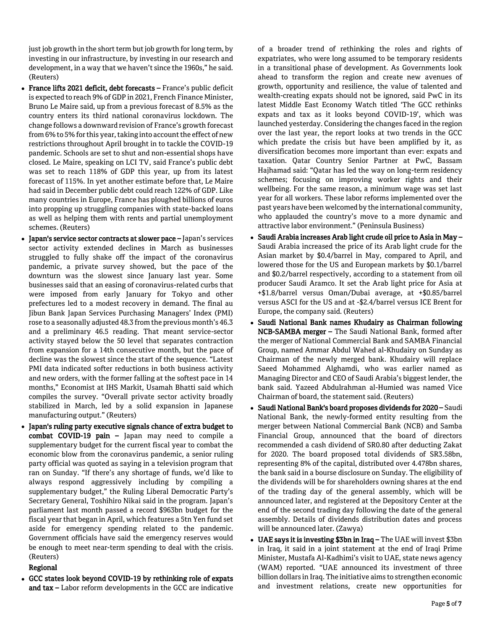just job growth in the short term but job growth for long term, by investing in our infrastructure, by investing in our research and development, in a way that we haven't since the 1960s," he said. (Reuters)

- France lifts 2021 deficit, debt forecasts France's public deficit is expected to reach 9% of GDP in 2021, French Finance Minister, Bruno Le Maire said, up from a previous forecast of 8.5% as the country enters its third national coronavirus lockdown. The change follows a downward revision of France's growth forecast from 6% to 5% for this year, taking into account the effect of new restrictions throughout April brought in to tackle the COVID-19 pandemic. Schools are set to shut and non-essential shops have closed. Le Maire, speaking on LCI TV, said France's public debt was set to reach 118% of GDP this year, up from its latest forecast of 115%. In yet another estimate before that, Le Maire had said in December public debt could reach 122% of GDP. Like many countries in Europe, France has ploughed billions of euros into propping up struggling companies with state-backed loans as well as helping them with rents and partial unemployment schemes. (Reuters)
- Japan's service sector contracts at slower pace Japan's services sector activity extended declines in March as businesses struggled to fully shake off the impact of the coronavirus pandemic, a private survey showed, but the pace of the downturn was the slowest since January last year. Some businesses said that an easing of coronavirus-related curbs that were imposed from early January for Tokyo and other prefectures led to a modest recovery in demand. The final au Jibun Bank Japan Services Purchasing Managers' Index (PMI) rose to a seasonally adjusted 48.3 from the previous month's 46.3 and a preliminary 46.5 reading. That meant service-sector activity stayed below the 50 level that separates contraction from expansion for a 14th consecutive month, but the pace of decline was the slowest since the start of the sequence. "Latest PMI data indicated softer reductions in both business activity and new orders, with the former falling at the softest pace in 14 months," Economist at IHS Markit, Usamah Bhatti said which compiles the survey. "Overall private sector activity broadly stabilized in March, led by a solid expansion in Japanese manufacturing output." (Reuters)
- Japan's ruling party executive signals chance of extra budget to combat COVID-19 pain – Japan may need to compile a supplementary budget for the current fiscal year to combat the economic blow from the coronavirus pandemic, a senior ruling party official was quoted as saying in a television program that ran on Sunday. "If there's any shortage of funds, we'd like to always respond aggressively including by compiling a supplementary budget," the Ruling Liberal Democratic Party's Secretary General, Toshihiro Nikai said in the program. Japan's parliament last month passed a record \$963bn budget for the fiscal year that began in April, which features a 5tn Yen fund set aside for emergency spending related to the pandemic. Government officials have said the emergency reserves would be enough to meet near-term spending to deal with the crisis. (Reuters)

# Regional

 GCC states look beyond COVID-19 by rethinking role of expats and tax – Labor reform developments in the GCC are indicative

of a broader trend of rethinking the roles and rights of expatriates, who were long assumed to be temporary residents in a transitional phase of development. As Governments look ahead to transform the region and create new avenues of growth, opportunity and resilience, the value of talented and wealth-creating expats should not be ignored, said PwC in its latest Middle East Economy Watch titled 'The GCC rethinks expats and tax as it looks beyond COVID-19', which was launched yesterday. Considering the changes faced in the region over the last year, the report looks at two trends in the GCC which predate the crisis but have been amplified by it, as diversification becomes more important than ever: expats and taxation. Qatar Country Senior Partner at PwC, Bassam Hajhamad said: "Qatar has led the way on long-term residency schemes; focusing on improving worker rights and their wellbeing. For the same reason, a minimum wage was set last year for all workers. These labor reforms implemented over the past years have been welcomed by the international community, who applauded the country's move to a more dynamic and attractive labor environment." (Peninsula Business)

- Saudi Arabia increases Arab light crude oil price to Asia in May Saudi Arabia increased the price of its Arab light crude for the Asian market by \$0.4/barrel in May, compared to April, and lowered those for the US and European markets by \$0.1/barrel and \$0.2/barrel respectively, according to a statement from oil producer Saudi Aramco. It set the Arab light price for Asia at +\$1.8/barrel versus Oman/Dubai average, at +\$0.85/barrel versus ASCI for the US and at -\$2.4/barrel versus ICE Brent for Europe, the company said. (Reuters)
- Saudi National Bank names Khudairy as Chairman following NCB-SAMBA merger – The Saudi National Bank, formed after the merger of National Commercial Bank and SAMBA Financial Group, named Ammar Abdul Wahed al-Khudairy on Sunday as Chairman of the newly merged bank. Khudairy will replace Saeed Mohammed Alghamdi, who was earlier named as Managing Director and CEO of Saudi Arabia's biggest lender, the bank said. Yazeed Abdulrahman al-Humied was named Vice Chairman of board, the statement said. (Reuters)
- Saudi National Bank's board proposes dividends for 2020 Saudi National Bank, the newly-formed entity resulting from the merger between National Commercial Bank (NCB) and Samba Financial Group, announced that the board of directors recommended a cash dividend of SR0.80 after deducting Zakat for 2020. The board proposed total dividends of SR3.58bn, representing 8% of the capital, distributed over 4.478bn shares, the bank said in a bourse disclosure on Sunday. The eligibility of the dividends will be for shareholders owning shares at the end of the trading day of the general assembly, which will be announced later, and registered at the Depository Center at the end of the second trading day following the date of the general assembly. Details of dividends distribution dates and process will be announced later. (Zawya)
- UAE says it is investing \$3bn in Iraq The UAE will invest \$3bn in Iraq, it said in a joint statement at the end of Iraqi Prime Minister, Mustafa Al-Kadhimi's visit to UAE, state news agency (WAM) reported. "UAE announced its investment of three billion dollars in Iraq. The initiative aims to strengthen economic and investment relations, create new opportunities for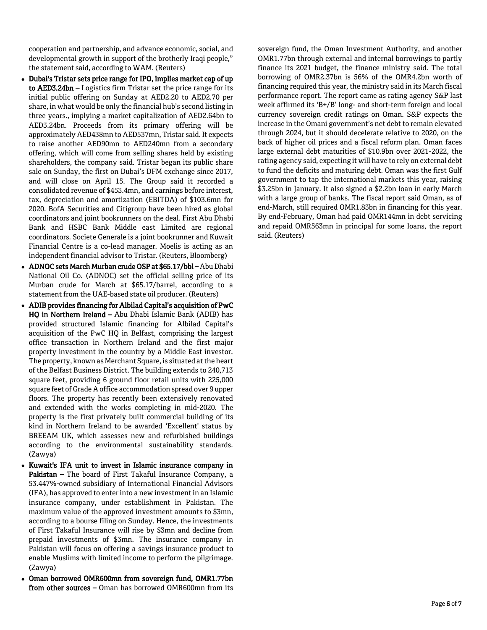cooperation and partnership, and advance economic, social, and developmental growth in support of the brotherly Iraqi people," the statement said, according to WAM. (Reuters)

- Dubai's Tristar sets price range for IPO, implies market cap of up to AED3.24bn – Logistics firm Tristar set the price range for its initial public offering on Sunday at AED2.20 to AED2.70 per share, in what would be only the financial hub's second listing in three years., implying a market capitalization of AED2.64bn to AED3.24bn. Proceeds from its primary offering will be approximately AED438mn to AED537mn, Tristar said. It expects to raise another AED90mn to AED240mn from a secondary offering, which will come from selling shares held by existing shareholders, the company said. Tristar began its public share sale on Sunday, the first on Dubai's DFM exchange since 2017, and will close on April 15. The Group said it recorded a consolidated revenue of \$453.4mn, and earnings before interest, tax, depreciation and amortization (EBITDA) of \$103.6mn for 2020. BofA Securities and Citigroup have been hired as global coordinators and joint bookrunners on the deal. First Abu Dhabi Bank and HSBC Bank Middle east Limited are regional coordinators. Societe Generale is a joint bookrunner and Kuwait Financial Centre is a co-lead manager. Moelis is acting as an independent financial advisor to Tristar. (Reuters, Bloomberg)
- ADNOC sets March Murban crude OSP at \$65.17/bbl Abu Dhabi National Oil Co. (ADNOC) set the official selling price of its Murban crude for March at \$65.17/barrel, according to a statement from the UAE-based state oil producer. (Reuters)
- ADIB provides financing for Albilad Capital's acquisition of PwC HQ in Northern Ireland – Abu Dhabi Islamic Bank (ADIB) has provided structured Islamic financing for Albilad Capital's acquisition of the PwC HQ in Belfast, comprising the largest office transaction in Northern Ireland and the first major property investment in the country by a Middle East investor. The property, known as Merchant Square, is situated at the heart of the Belfast Business District. The building extends to 240,713 square feet, providing 6 ground floor retail units with 225,000 square feet of Grade A office accommodation spread over 9 upper floors. The property has recently been extensively renovated and extended with the works completing in mid-2020. The property is the first privately built commercial building of its kind in Northern Ireland to be awarded 'Excellent' status by BREEAM UK, which assesses new and refurbished buildings according to the environmental sustainability standards. (Zawya)
- Kuwait's IFA unit to invest in Islamic insurance company in Pakistan – The board of First Takaful Insurance Company, a 53.447%-owned subsidiary of International Financial Advisors (IFA), has approved to enter into a new investment in an Islamic insurance company, under establishment in Pakistan. The maximum value of the approved investment amounts to \$3mn, according to a bourse filing on Sunday. Hence, the investments of First Takaful Insurance will rise by \$3mn and decline from prepaid investments of \$3mn. The insurance company in Pakistan will focus on offering a savings insurance product to enable Muslims with limited income to perform the pilgrimage. (Zawya)
- Oman borrowed OMR600mn from sovereign fund, OMR1.77bn from other sources – Oman has borrowed OMR600mn from its

sovereign fund, the Oman Investment Authority, and another OMR1.77bn through external and internal borrowings to partly finance its 2021 budget, the finance ministry said. The total borrowing of OMR2.37bn is 56% of the OMR4.2bn worth of financing required this year, the ministry said in its March fiscal performance report. The report came as rating agency S&P last week affirmed its 'B+/B' long- and short-term foreign and local currency sovereign credit ratings on Oman. S&P expects the increase in the Omani government's net debt to remain elevated through 2024, but it should decelerate relative to 2020, on the back of higher oil prices and a fiscal reform plan. Oman faces large external debt maturities of \$10.9bn over 2021-2022, the rating agency said, expecting it will have to rely on external debt to fund the deficits and maturing debt. Oman was the first Gulf government to tap the international markets this year, raising \$3.25bn in January. It also signed a \$2.2bn loan in early March with a large group of banks. The fiscal report said Oman, as of end-March, still required OMR1.83bn in financing for this year. By end-February, Oman had paid OMR144mn in debt servicing and repaid OMR563mn in principal for some loans, the report said. (Reuters)